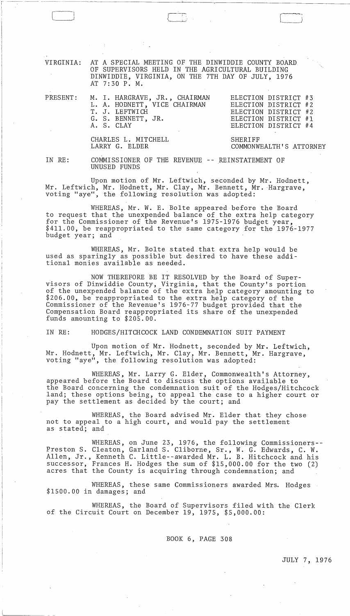VIRGINIA: AT A SPECIAL MEETING OF THE DINWIDDIE COUNTY BOARD OF SUPERVISORS HELD IN THE AGRICULTURAL BUILDING DINWIDDIE, VIRGINIA, ON THE 7TH DAY OF JULY, 1976 AT 7: 30 P. M.

| PRESENT: M. I. HARGRAVE, JR., CHAIRMAN<br>L. A. HODNETT, VICE CHAIRMAN<br>T. J. LEFTWICH<br>G. S. BENNETT, JR.<br>A. S. CLAY | ELECTION DISTRICT #3<br>ELECTION DISTRICT #2<br>ELECTION DISTRICT #2<br>ELECTION DISTRICT #1<br>ELECTION DISTRICT #4 |  |  |
|------------------------------------------------------------------------------------------------------------------------------|----------------------------------------------------------------------------------------------------------------------|--|--|
| CHARLES L. MITCHELL<br>LARRY G. ELDER                                                                                        | SHERIFF<br>COMMONWEALTH'S ATTORNEY                                                                                   |  |  |

IN RE:

I ------ ---~---- -

 $\begin{array}{|c|c|c|c|c|}\hline \quad \quad & \quad & \quad & \quad & \quad \\ \hline \quad \quad & \quad & \quad & \quad & \quad \\ \hline \end{array}$ 

:

COMMISSIONER OF THE REVENUE REINSTATEMENT OF UNUSED FUNDS

Upon motion of Mr. Leftwich, seconded by Mr. Hodnett, Mr. Leftwich, Mr. Hodnett, Mr. Clay, Mr. Bennett, Mr. Hargrave, voting "aye", the following resolution was adopted:

WHEREAS, Mr. W. E. Bolte appeared before the Board to request that the unexpended balance of the extra help category for the Commissioner of the Revenue's 1975-1976 budget year,<br>\$411.00, be reappropriated to the same category for the 1976-1977 budget year; and

WHEREAS, Mr. Bolte stated.that extra help would be used as sparingly as possible but desired to have these additional monies available as needed.

NOW THEREFORE BE IT RESOLVED by the Board of Supervisors of Dinwiddie County, Virginia, that the County's portion of the unexpended balance of the extra help category amounting to \$206.00, be reappropriated to the extra help category of the Commissioner of the Revenue's 1976-77 budget provided that the Compensation Board reappropriated its share of the unexpended funds amounting to \$205.00.

IN RE: HODGES/HITCHCOCK LAND CONDEMNATION SUIT PAYMENT

Upon motion of Mr. Hodnett, seconded by Mr. Leftwich, Mr. Hodnett, Mr. Leftwich, Mr. Clay, Mr. Bennett, Mr. Hargrave, voting "aye", the following resolution was adopted:

WHEREAS, Mr. Larry G. Elder, Commonwealth's Attorney, appeared before the Board to discuss the options available to the Board concerning the condemnation suit of the Hodges/Hitchcock land; these options being, to appeal the case to a higher court or pay the settlement as decided by the court; and

WHEREAS, the Board advised Mr. Elder that they chose not to appeal to a high court, and would pay the settlement as stated; and

WHEREAS, on June 23, 1976, the following Commissioners--Preston S. Cleaton, Garland S. Cliborne, Sr., W. G. Edwards, C. W. Allen, Jr., Kenneth C. Little--awarded Mr. L. B. Hitchcock and his successor, Frances H. Hodges the sum of \$15,000.00 for the two (2) acres that the County is acquiring through condemnation; and

WHEREAS, these same Commissioners awarded Mrs. Hodges<br>\$1500.00 in damages; and

WHEREAS, the Board of Supervisors filed with the Clerk of the Circuit Court on December 19, 1975, \$5,000.00:

BOOK 6, PAGE 308

JULY 7, 1976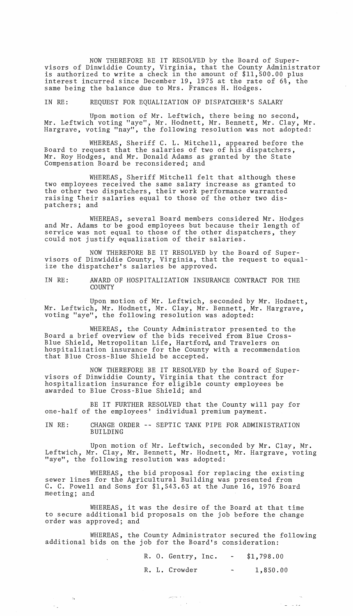NOW THEREFORE BE IT RESOLVED by the Board of Supervisors of Dinwiddie County, Virginia, that the County Administrator is authorized to write a check in the amount of \$11,500.00 plus interest incurred since December 19, 1975 at the rate of 6%, the same being the balance due to Mrs. Frances H. Hodges.

IN RE: REQUEST FOR EQUALIZATION OF DISPATCHER'S SALARY

Upon motion of Mr. Leftwich, there being no second, My. Leftwich voting "aye", Mr. Hodnett, Mr. Bennett, Mr. Clay, Mr. Hargrave, voting "nay", the following resolution was not adopted:

WHEREAS, Sheriff C. L. Mitchell, appeared before the Board to request that the salaries of two of his dispatchers, Mr. Roy Hodges, and Mr. Donald Adams as granted by the State Compensation Board be reconsidered; and

WHEREAS, Sheriff Mitchell felt that although these two employees received the same salary increase as granted to the other two dispatchers, their work performance warranted raising their salaries equal to those of the other two dispatchers; and

WHEREAS, several Board members considered Mr. Hodges and Mr. Adams to be good employees but because their length of service was not equal to those of the other dispatchers, they could not justify equalization of their salaries.

NOW THEREFORE BE IT RESOLVED by the Board of Supervisors of Dinwiddie County, Virginia, that the request to equalize the dispatcher's salaries be approved.

IN RE: AWARD OF HOSPITALIZATION INSURANCE CONTRACT FOR THE **COUNTY** 

Upon motion of Mr. Leftwich, seconded by Mr. Hodnett, Mr. Leftwich, Mr. Hodnett, Mr. Clay, Mr. Bennett, Mr. Hargrave, voting "aye", the following resolution was adopted:

WHEREAS, the County Administrator presented to the Board a brief overview of the bids received from Blue Cross-Blue Shield, Metropolitan Life, Hartford, and Travelers on hospitalization insurance for the County with a recommendation that Blue Cross-Blue Shield be accepted.

NOW THEREFORE BE IT RESOLVED by the Board of Supervisors of Dinwiddie County, Virginia that the contract for hospitalization insurance for eligible county employees be awarded to Blue Cross-Blue Shield; and

BE IT FURTHER RESOLVED that the County will pay for one-half of the employees' individual premium payment.

IN RE: CHANGE ORDER -- SEPTIC TANK PIPE FOR ADMINISTRATION BUILDING

Upon motion of Mr. Leftwich, seconded by Mr. Clay, Mr. Leftwich, Mr. Clay, Mr. Bennett, Mr. Hodnett, Mr. Hargrave, voting "aye", the following resolution was adopted:

WHEREAS, the bid proposal for replacing the existing sewer lines for the Agricultural Building was presented from C. C. Powell and Sons for \$1,543.63 at the June 16, 1976 Board meeting; and

WHEREAS, it was the desire of the Board at that time to secure additional bid proposals on the job before the change order was approved; and

 $\mathcal{L}^{\text{max}}_{\text{max}}$ 

WHEREAS, the County Administrator secured the following additional bids on the job for the Board's consideration:

الداخل عماوضي

ener<br>Standard Standard

|  | R. O. Gentry, Inc. | $\sim$ | \$1,798.00 |
|--|--------------------|--------|------------|
|  | R. L. Crowder      | $\sim$ | 1,850.00   |

 $\mathcal{V} = \{1,2,3\}$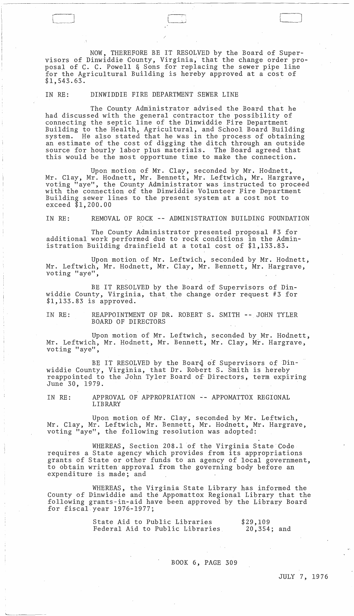NOW, THEREFORE BE IT RESOLVED by the Board of Supervisors of Dinwiddie County, Virginia, that the change order proposal of C. C. Powell & Sons for replacing the sewer pipe line for the Agricultural Building is hereby approved at a cost of \$1,543.63.

L l

IN RE: DINWIDDIE FIRE DEPARTMENT SEWER LINE

The County Administrator advised the Board that he had discussed with the general contractor the possibility of connecting the septic line of the Dinwiddie Fire Department Building to the Health, Agricultural, and School Board Building system. He also stated that he was in the process of obtaining an estimate of the cost of digging the ditch through an outside source for hourly labor plus materials. The Board agreed that this would be the most opportune time to make the connection.

Upon motion of Mr. Clay, seconded by Mr. Hodnett, Mr. Clay, Mr. Hodnett, Mr. Bennett, Mr. Leftwich, Mr. Hargrave, voting "aye", the County Administrator was instructed to proceed with the connection of the Dinwiddie Volunteer Fire Department Building sewer lines to the present system at a cost not to exceed \$1,200.00

IN RE: REMOVAL OF ROCK -- ADMINISTRATION BUILDING FOUNDATION

The County Administrator presented proposal #3 for additional work performed due to rock conditions in the Administration Building drainfield at a total cost of \$1,133.83.

Upon motion of Mr. Leftwich, seconded by Mr. Hodnett, Mr. Leftwich, Mr. Hodnett, Mr. Clay, Mr. Bennett, Mr. Hargrave, voting "aye",

BE IT RESOLVED by the Board of Supervisors of Dinwiddie County, Virginia, that the change order request #3 for \$1,133.83 is approved. .

IN RE: REAPPOINTMENT OF DR. ROBERT S. SMITH -- JOHN TYLER BOARD OF DIRECTORS

Upon motion of Mr. Leftwich, seconded by Mr. Hodnett, Mr. Leftwich, Mr. Hodnett, Mr. Bennett, Mr. Clay, Mr. Hargrave, voting "aye",

BE IT RESOLVED by the Board of Supervisors of Dinwiddie County, Virginia, that Dr. Robert S. Smith is hereby reappointed to the John Tyler Board oE Directors, term expiring June 30, 1979.

IN RE: APPROVAL OF APPROPRIATION -- APPOMATTOX REGIONAL LIBRARY

Upon motion of Mr. Clay, seconded by Mr. Leftwich, Mr. Clay, Mr. Leftwich, Mr. Bennett, Mr. Hodnett, Mr. Hargrave, voting "aye", the following resolution was adopted:

WHEREAS, Section 208.1 of the Virginia State Code requires a State agency which provides from its appropriations grants of State or other funds to an agency of local government, to obtain written approval from the governing body before an expenditure is made; and

WHEREAS, the Virginia State Library has informed the County of Dinwiddie and the Appomattox Regional Library that the following grants-in-aid have been approved by the Library Board for fiscal year 1976-1977;

'---. ---

State Aid to Public Libraries Federal Aid to Public Libraries \$29,109 20,354; and

BOOK 6, PAGE 309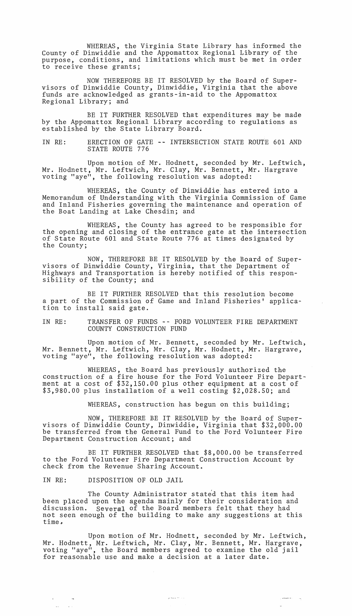WHEREAS, the Virginia State Library has informed the County of Dinwiddie and the Appomattox Regional Library of the purpose, conditions, and limitations which must be met in order to receive these grants;

NOW THEREFORE BE IT RESOLVED by the Board of Supervisors of Dinwiddie County, Dinwiddie, Virginia that the above funds are acknowledged as grants-in-aid to the Appomattox Regional Library; and

BE IT FURTHER RESOLVED that expenditures may be made by the Appomattox Regional Library according to regulations as established by the State Library Board.

IN RE: ERECTION OF GATE -- INTERSECTION STATE ROUTE 601 AND STATE ROUTE 776

Upon motion of Mr. Hodnett, seconded by Mr. Leftwich, Mr. Hodnett, Mr. Leftwich, Mr. Clay, Mr. Bennett, Mr. Hargrave voting "aye", the following resolution was adopted:

WHEREAS, the County of Dinwiddie has entered into a Memorandum of Understanding with the Virginia Commission of Game and Inland Fisheries governing the maintenance and operation of the Boat Landing at Lake Chesdin; and

WHEREAS, the County has agreed to be responsible for the opening and closing of the entrance gate at the intersection of State Route 601 and State Route 776 at times designated by the County;

NOW, THEREFORE BE IT RESOLVED by the Board of Supervisors of Dinwiddie County, Virginia, that the Department of Highways and Transportation is hereby notified of this responsibility of the County; and

BE IT FURTHER RESOLVED that this resolution become a part of the Commission of Game and Inland Fisheries' application to install said gate.

IN RE: TRANSFER OF FUNDS -- FORD VOLUNTEER FIRE DEPARTMENT COUNTY CONSTRUCTION FUND

Upon motion of Mr. Bennett, seconded by Mr. Leftwich, Mr. Bennett, Mr. Leftwich, Mr. Clay, Mr. Hodnett, Mr. Hargrave, voting "aye", the following resolution was adopted:

WHEREAS, the Board has previously authorized the construction of a fire house for the Ford Volunteer Fire Department at a cost of \$32,150.00 plus other equipment at a cost of \$3,980.00 plus installation of a well costing \$2,028.50; and

WHEREAS, construction has begun on this building;

NOW, THEREFORE BE IT RESOLVED by the Board of Supervisors of Dinwiddie County, Dinwiddie, Virginia that \$32,000.00 be transferred from the General Fund to the Ford Volunteer Fire Department Construction Account; and

BE IT FURTHER RESOLVED that \$8,000.00 be transferred to the Ford Volunteer Fire Department Construction Account by check from the Revenue Sharing Account.

IN RE: DISPOSITION OF OLD JAIL

 $\mathfrak{p}^{\pm}$  and  $\mathfrak{p}^{\pm}$ 

The County Administrator stated that this item had been placed upon the agenda mainly for their consideration and discussion. Several of the Board members felt that they had not seen enough of the building to make any suggestions at this time~

Upon motion of Mr. Hodnett, seconded by Mr. Leftwich, Mr. Hodnett, Mr. Leftwich, Mr. Clay, Mr. Bennett, Mr. Hargrave, voting "aye", the Board members agreed to examine the old jail for reasonable use and make a decision at a later date.

لددا محتشمتها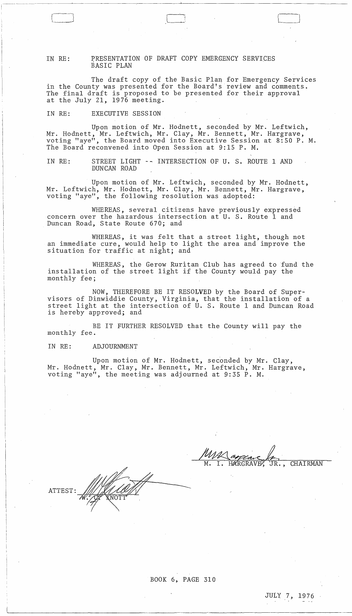IN RE: PRESENTATION OF DRAFT COPY EMERGENCY SERVICES BASIC PLAN

The draft copy of the Basic Plan for Emergency Services in the County was presented for the Board's review and comments. The final draft is proposed to be presented for their approval at the July 21, 1976 meeting.

l--·'

 $\begin{bmatrix} 1 & 1 \\ 1 & 1 \end{bmatrix}$ 

IN RE: EXECUTIVE SESSION

Upon motion of Mr. Hodnett, seconded by Mr. Leftwich, Mr. Hodnett, Mr. Leftwich, Mr. Clay, Mr. Bennett, Mr. Hargrave, voting "aye", the Board moved into Executive Session at 8:50 P. M. The Board reconvened into Open Session at 9:15 P. M.

IN RE: STREET LIGHT -- INTERSECTION OF U. S. ROUTE 1 AND DUNCAN ROAD

Upon motion of Mr. Leftwich, seconded by Mr. Hodnett, Mr. Leftwich, Mr. Hodnett, Mr. Clay, Mr. Bennett, Mr. Hargrave, voting "aye", the following resolution was adopted:

WHEREAS, several citizens have previously expressed concern over the hazardous intersection at U. S. Route 1 and Duncan Road, State Route 670; and

WHEREAS, it was felt that a street light, though not an immediate cure, would help to light the area and improve the an immediate care, nouse heap or ing

WHEREAS, the Gerow Ruritan Club has agreed to fund the installation of the street light if the County would pay the monthly fee;

NOW, THEREFORE BE IT RESOLVED by the Board of Supervisors of Dinwiddie County, Virginia, that the installation of a street light at the intersection of U. S. Route 1 and Duncan Road is hereby approved; and

BE IT FURTHER RESOLVED that the County will pay the monthly fee.

IN RE: ADJOURNMENT

Upon motion of Mr. Hodnett, seconded by Mr. Clay, Mr. Hodnett, Mr. Clay, Mr. Bennett, Mr. Leftwich, Mr. Hargrave, voting "aye", the meeting was adjourned at 9:35 P. M.

 $\mathtt{ATTEST}{}:$ 

HARGRAVE , JR., CHAIRMAN

BOOK 6, PAGE 310